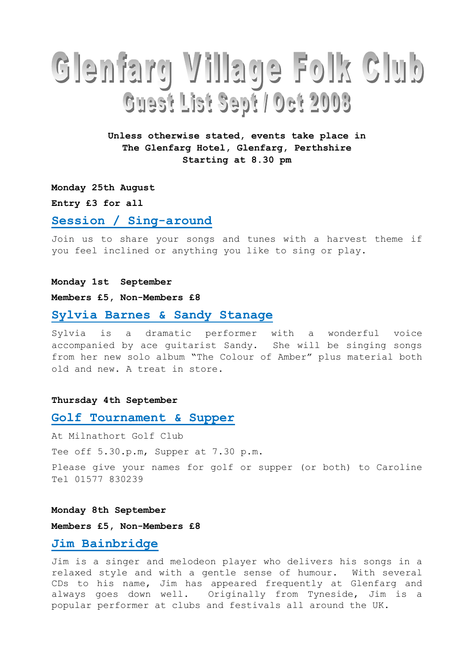# Glenfarg Village Folk Club Guest List Sept / Oct 2003

# Unless otherwise stated, events take place in The Glenfarg Hotel, Glenfarg, Perthshire Starting at 8.30 pm

Monday 25th August

Entry £3 for all

## Session / Sing-around

Join us to share your songs and tunes with a harvest theme if you feel inclined or anything you like to sing or play.

#### Monday 1st September

#### Members £5, Non-Members £8

## Sylvia Barnes & Sandy Stanage

Sylvia is a dramatic performer with a wonderful voice accompanied by ace guitarist Sandy. She will be singing songs from her new solo album "The Colour of Amber" plus material both old and new. A treat in store.

#### Thursday 4th September

## Golf Tournament & Supper

At Milnathort Golf Club Tee off 5.30.p.m, Supper at 7.30 p.m. Please give your names for golf or supper (or both) to Caroline Tel 01577 830239

### Monday 8th September

Members £5, Non-Members £8

# Jim Bainbridge

Jim is a singer and melodeon player who delivers his songs in a relaxed style and with a gentle sense of humour. With several CDs to his name, Jim has appeared frequently at Glenfarg and always goes down well. Originally from Tyneside, Jim is a popular performer at clubs and festivals all around the UK.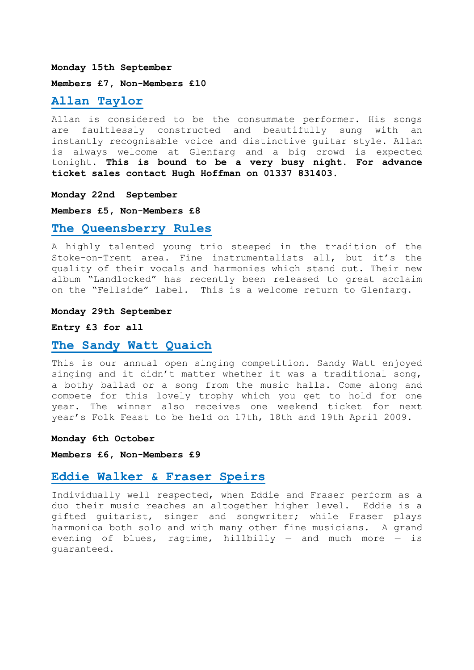#### Monday 15th September

Members £7, Non-Members £10

# Allan Taylor

Allan is considered to be the consummate performer. His songs are faultlessly constructed and beautifully sung with an instantly recognisable voice and distinctive guitar style. Allan is always welcome at Glenfarg and a big crowd is expected tonight. This is bound to be a very busy night. For advance ticket sales contact Hugh Hoffman on 01337 831403.

## Monday 22nd September

Members £5, Non-Members £8

## The Queensberry Rules

A highly talented young trio steeped in the tradition of the Stoke-on-Trent area. Fine instrumentalists all, but it's the quality of their vocals and harmonies which stand out. Their new album "Landlocked" has recently been released to great acclaim on the "Fellside" label. This is a welcome return to Glenfarg.

## Monday 29th September

### Entry £3 for all

## The Sandy Watt Quaich

This is our annual open singing competition. Sandy Watt enjoyed singing and it didn't matter whether it was a traditional song, a bothy ballad or a song from the music halls. Come along and compete for this lovely trophy which you get to hold for one year. The winner also receives one weekend ticket for next year's Folk Feast to be held on 17th, 18th and 19th April 2009.

#### Monday 6th October

Members £6, Non-Members £9

# Eddie Walker & Fraser Speirs

Individually well respected, when Eddie and Fraser perform as a duo their music reaches an altogether higher level. Eddie is a gifted guitarist, singer and songwriter; while Fraser plays harmonica both solo and with many other fine musicians. A grand evening of blues, ragtime, hillbilly  $-$  and much more  $-$  is guaranteed.